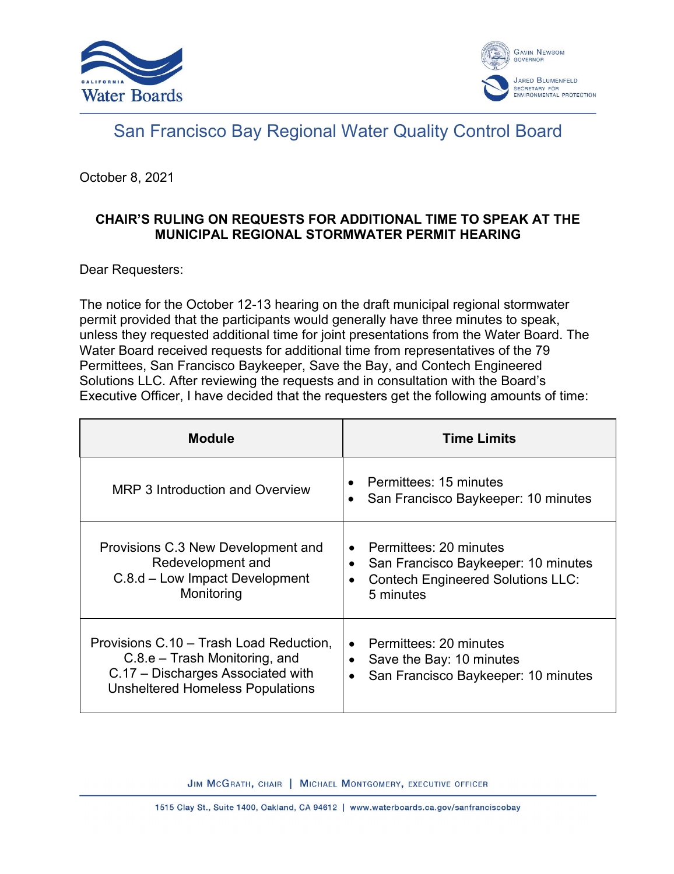



## San Francisco Bay Regional Water Quality Control Board

October 8, 2021

## **CHAIR'S RULING ON REQUESTS FOR ADDITIONAL TIME TO SPEAK AT THE MUNICIPAL REGIONAL STORMWATER PERMIT HEARING**

Dear Requesters:

The notice for the October 12-13 hearing on the draft municipal regional stormwater permit provided that the participants would generally have three minutes to speak, unless they requested additional time for joint presentations from the Water Board. The Water Board received requests for additional time from representatives of the 79 Permittees, San Francisco Baykeeper, Save the Bay, and Contech Engineered Solutions LLC. After reviewing the requests and in consultation with the Board's Executive Officer, I have decided that the requesters get the following amounts of time:

| <b>Module</b>                                                                                                                                              | <b>Time Limits</b>                                                                                                                       |
|------------------------------------------------------------------------------------------------------------------------------------------------------------|------------------------------------------------------------------------------------------------------------------------------------------|
| MRP 3 Introduction and Overview                                                                                                                            | Permittees: 15 minutes<br>San Francisco Baykeeper: 10 minutes<br>$\bullet$                                                               |
| Provisions C.3 New Development and<br>Redevelopment and<br>C.8.d – Low Impact Development<br>Monitoring                                                    | Permittees: 20 minutes<br>San Francisco Baykeeper: 10 minutes<br>٠<br><b>Contech Engineered Solutions LLC:</b><br>$\bullet$<br>5 minutes |
| Provisions C.10 - Trash Load Reduction,<br>$C.8.e$ – Trash Monitoring, and<br>C.17 - Discharges Associated with<br><b>Unsheltered Homeless Populations</b> | Permittees: 20 minutes<br>$\bullet$<br>Save the Bay: 10 minutes<br>٠<br>San Francisco Baykeeper: 10 minutes<br>$\bullet$                 |

JIM MCGRATH, CHAIR | MICHAEL MONTGOMERY, EXECUTIVE OFFICER